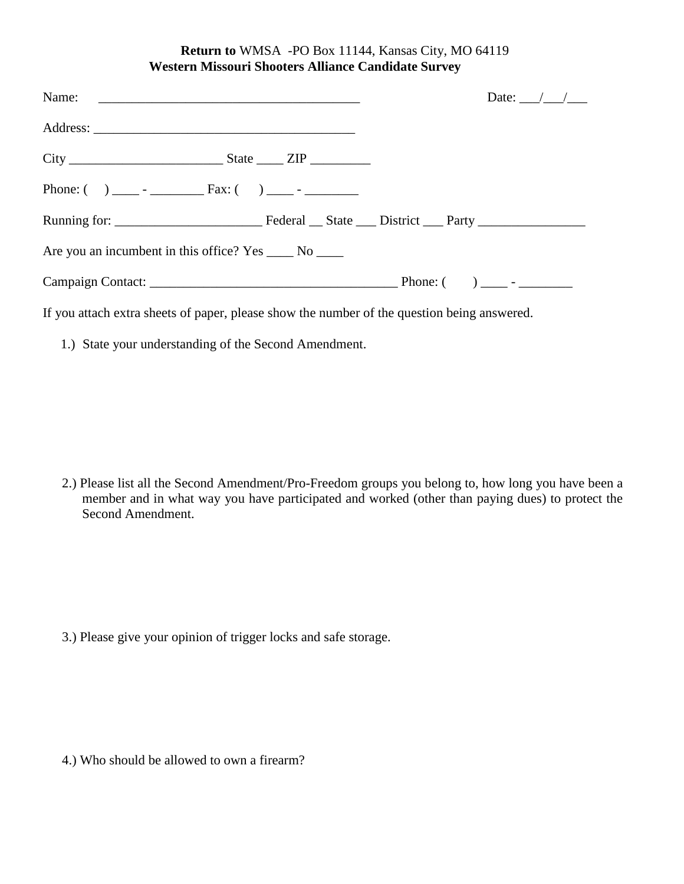## **Return to** WMSA -PO Box 11144, Kansas City, MO 64119 **Western Missouri Shooters Alliance Candidate Survey**

|                                                         | Date: $\angle$ / |
|---------------------------------------------------------|------------------|
|                                                         |                  |
|                                                         |                  |
|                                                         |                  |
|                                                         |                  |
| Are you an incumbent in this office? Yes _____ No _____ |                  |
|                                                         |                  |

If you attach extra sheets of paper, please show the number of the question being answered.

1.) State your understanding of the Second Amendment.

2.) Please list all the Second Amendment/Pro-Freedom groups you belong to, how long you have been a member and in what way you have participated and worked (other than paying dues) to protect the Second Amendment.

3.) Please give your opinion of trigger locks and safe storage.

4.) Who should be allowed to own a firearm?